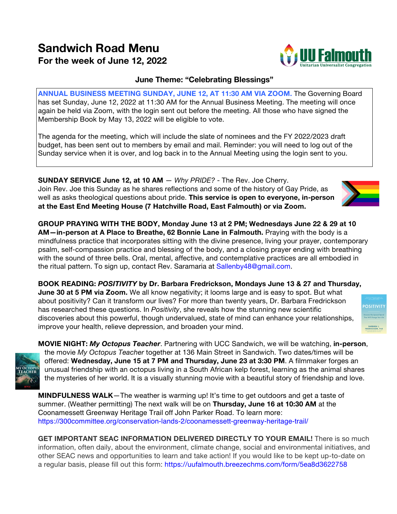## **Sandwich Road Menu For the week of June 12, 2022**

## **June Theme: "Celebrating Blessings"**

**ANNUAL BUSINESS MEETING SUNDAY, JUNE 12, AT 11:30 AM VIA ZOOM.** The Governing Board has set Sunday, June 12, 2022 at 11:30 AM for the Annual Business Meeting. The meeting will once again be held via Zoom, with the login sent out before the meeting. All those who have signed the Membership Book by May 13, 2022 will be eligible to vote.

The agenda for the meeting, which will include the slate of nominees and the FY 2022/2023 draft budget, has been sent out to members by email and mail. Reminder: you will need to log out of the Sunday service when it is over, and log back in to the Annual Meeting using the login sent to you.

**SUNDAY SERVICE June 12, at 10 AM** — *Why PRIDE?* - The Rev. Joe Cherry. Join Rev. Joe this Sunday as he shares reflections and some of the history of Gay Pride, as well as asks theological questions about pride. **This service is open to everyone, in-person at the East End Meeting House (7 Hatchville Road, East Falmouth) or via Zoom.**

**GROUP PRAYING WITH THE BODY, Monday June 13 at 2 PM; Wednesdays June 22 & 29 at 10 AM—in-person at A Place to Breathe, 62 Bonnie Lane in Falmouth.** Praying with the body is a mindfulness practice that incorporates sitting with the divine presence, living your prayer, contemporary psalm, self-compassion practice and blessing of the body, and a closing prayer ending with breathing with the sound of three bells. Oral, mental, affective, and contemplative practices are all embodied in the ritual pattern. To sign up, contact Rev. Saramaria at Sallenby48@gmail.com.

**BOOK READING:** *POSITIVITY* **by Dr. Barbara Fredrickson, Mondays June 13 & 27 and Thursday, June 30 at 5 PM via Zoom.** We all know negativity; it looms large and is easy to spot. But what about positivity? Can it transform our lives? For more than twenty years, Dr. Barbara Fredrickson has researched these questions. In *Positivity*, she reveals how the stunning new scientific discoveries about this powerful, though undervalued, state of mind can enhance your relationships, improve your health, relieve depression, and broaden your mind.

**MOVIE NIGHT:** *My Octopus Teacher*. Partnering with UCC Sandwich, we will be watching, **in-person**, the movie *My Octopus Teacher* together at 136 Main Street in Sandwich. Two dates/times will be offered: **Wednesday, June 15 at 7 PM and Thursday, June 23 at 3:30 PM**. A filmmaker forges an unusual friendship with an octopus living in a South African kelp forest, learning as the animal shares the mysteries of her world. It is a visually stunning movie with a beautiful story of friendship and love.

**MINDFULNESS WALK**—The weather is warming up! It's time to get outdoors and get a taste of summer. (Weather permitting) The next walk will be on **Thursday, June 16 at 10:30 AM** at the Coonamessett Greenway Heritage Trail off John Parker Road. To learn more: https://300committee.org/conservation-lands-2/coonamessett-greenway-heritage-trail/

**GET IMPORTANT SEAC INFORMATION DELIVERED DIRECTLY TO YOUR EMAIL!** There is so much information, often daily, about the environment, climate change, social and environmental initiatives, and other SEAC news and opportunities to learn and take action! If you would like to be kept up-to-date on a regular basis, please fill out this form: https://uufalmouth.breezechms.com/form/5ea8d3622758









**OSITIVI** 

BARBARA